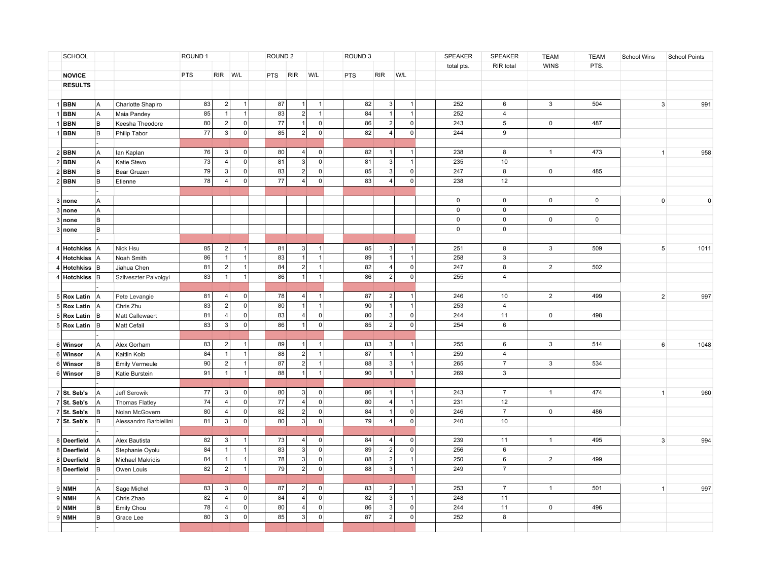| SCHOOL         |     |                        | ROUND 1         |                | ROUND <sub>2</sub> |            |                | ROUND <sub>3</sub> |     |                | SPEAKER             | SPEAKER     | <b>TEAM</b>      | <b>TEAM</b>    | School Wins | <b>School Points</b> |             |
|----------------|-----|------------------------|-----------------|----------------|--------------------|------------|----------------|--------------------|-----|----------------|---------------------|-------------|------------------|----------------|-------------|----------------------|-------------|
|                |     |                        |                 |                |                    |            |                |                    |     |                |                     | total pts.  | RIR total        | <b>WINS</b>    | PTS.        |                      |             |
| <b>NOVICE</b>  |     |                        | <b>PTS</b>      | RIR W/L        |                    | <b>PTS</b> | <b>RIR</b>     | W/L                | PTS | <b>RIR</b>     | W/L                 |             |                  |                |             |                      |             |
| <b>RESULTS</b> |     |                        |                 |                |                    |            |                |                    |     |                |                     |             |                  |                |             |                      |             |
|                |     |                        |                 |                |                    |            |                |                    |     |                |                     |             |                  |                |             |                      |             |
| 1BBN           | l A | Charlotte Shapiro      | 83              | 2 <sup>1</sup> | 1                  | 87         | 1              | $\mathbf{1}$       | 82  | 3              | $\overline{1}$      | 252         | 6                | 3              | 504         | $\mathbf{3}$         | 991         |
| <b>BBN</b>     | A   | Maia Pandey            | 85              |                | 1                  | 83         | $\overline{2}$ | $\overline{1}$     | 84  | $\overline{1}$ | $\overline{1}$      | 252         | $\overline{4}$   |                |             |                      |             |
| <b>BBN</b>     | lв  | Keesha Theodore        | 80              | 2 <sup>1</sup> | 0                  | $77$       | 1              | 0                  | 86  | 2              | $\mathbf 0$         | 243         | $\,$ 5 $\,$      | 0              | 487         |                      |             |
| <b>BBN</b>     | lв  | Philip Tabor           | $\overline{77}$ | 3 <sup>1</sup> | 0                  | 85         | $\overline{2}$ | $\overline{0}$     | 82  | $\overline{4}$ | $\mathbf 0$         | 244         | $\overline{9}$   |                |             |                      |             |
|                |     |                        |                 |                |                    |            |                |                    |     |                |                     |             |                  |                |             |                      |             |
| $2$ <b>BBN</b> | A   | lan Kaplan             | 76              | $\vert$ 3      | 0                  | 80         | $\overline{4}$ | $\overline{0}$     | 82  | $\vert$ 1      | $\overline{1}$      | 238         | 8                | $\mathbf{1}$   | 473         | 1                    | 958         |
| $2$ <b>BBN</b> | Α   | Katie Stevo            | 73              | 4              | $\circ$            | 81         | $\overline{3}$ | 0                  | 81  | 3              | $\mathbf{1}$        | 235         | 10               |                |             |                      |             |
| $2$ <b>BBN</b> | lв  | Bear Gruzen            | 79              | 3 <sup>1</sup> | $\circ$            | 83         | 2              | 0                  | 85  | 3 <sup>1</sup> | $\mathbf 0$         | 247         | $\boldsymbol{8}$ | $\mathsf{O}$   | 485         |                      |             |
| $2$ <b>BBN</b> | lв  | Etienne                | 78              | $\vert$        | 0                  | 77         | $\overline{4}$ | 0                  | 83  | $\vert$ 4      | $\mathbf 0$         | 238         | 12               |                |             |                      |             |
|                |     |                        |                 |                |                    |            |                |                    |     |                |                     |             |                  |                |             |                      |             |
| 3 none         | A   |                        |                 |                |                    |            |                |                    |     |                |                     | $\mathsf 0$ | $\mathsf 0$      | $\mathsf{O}$   | $\mathsf 0$ | $\mathbf 0$          | $\mathsf 0$ |
| 3 none         | A   |                        |                 |                |                    |            |                |                    |     |                |                     | $\mathbf 0$ | $\mathbf 0$      |                |             |                      |             |
| 3 none         | B   |                        |                 |                |                    |            |                |                    |     |                |                     | $\mathsf 0$ | $\mathbf 0$      | $\mathbf 0$    | $\mathbf 0$ |                      |             |
| 3 none         | B   |                        |                 |                |                    |            |                |                    |     |                |                     | $\mathsf 0$ | $\mathsf 0$      |                |             |                      |             |
|                |     |                        |                 |                |                    |            |                |                    |     |                |                     |             |                  |                |             |                      |             |
| 4 Hotchkiss    | İΑ  | Nick Hsu               | 85              | 2              | 1                  | 81         | 3              | $\mathbf{1}$       | 85  | 3              | $\overline{1}$      | 251         | 8                | $\mathbf{3}$   | 509         | $5\overline{5}$      | 1011        |
| 4 Hotchkiss    | l A | Noah Smith             | 86              | $\overline{1}$ | 1                  | 83         | $\overline{1}$ | $\overline{1}$     | 89  | 1              | $\overline{1}$      | 258         | 3                |                |             |                      |             |
| 4 Hotchkiss    | lв  | Jiahua Chen            | 81              | 2              | 1                  | 84         | 2              | $\mathbf{1}$       | 82  | 4              | $\mathsf{O}\xspace$ | 247         | 8                | $\overline{2}$ | 502         |                      |             |
| 4 Hotchkiss B  |     | Szilveszter Palvolgyi  | 83              | 1              | 1                  | 86         | $\vert$ 1      | $\mathbf{1}$       | 86  | 2              | $\mathsf{O}$        | 255         | $\overline{4}$   |                |             |                      |             |
|                |     |                        |                 |                |                    |            |                |                    |     |                |                     |             |                  |                |             |                      |             |
| 5 Rox Latin    | IА  | Pete Levangie          | 81              | 4              | 0                  | 78         | $\overline{4}$ | $\mathbf{1}$       | 87  | 2              | $\overline{1}$      | 246         | 10               | $\overline{2}$ | 499         | $\overline{2}$       | 997         |
| 5 Rox Latin    | ΙA  | Chris Zhu              | 83              | 2              | 0                  | 80         | $\vert$ 1      | $\overline{1}$     | 90  | 1              | $\overline{1}$      | 253         | $\overline{4}$   |                |             |                      |             |
| 5 Rox Latin    | lв  | Matt Callewaert        | 81              | 4              | 0                  | 83         | $\overline{4}$ | 0                  | 80  | 3              | $\mathsf 0$         | 244         | 11               | $\mathbf 0$    | 498         |                      |             |
| 5 Rox Latin    | lв  | Matt Cefail            | 83              | 3              | 0                  | 86         | $\vert$ 1      | 0                  | 85  | 2              | $\mathsf{O}\xspace$ | 254         | 6                |                |             |                      |             |
|                |     |                        |                 |                |                    |            |                |                    |     |                |                     |             |                  |                |             |                      |             |
| 6 Winsor       | l A | Alex Gorham            | 83              | 2              | $\mathbf{1}$       | 89         | $\vert$ 1      | $\mathbf{1}$       | 83  | 3              | $\overline{1}$      | 255         | 6                | 3              | 514         | 6                    | 1048        |
| 6 Winsor       | lA  | Kaitlin Kolb           | 84              | $\overline{1}$ | 1                  | 88         | $\overline{2}$ | $\mathbf{1}$       | 87  | $\vert$ 1      | $\overline{1}$      | 259         | $\overline{4}$   |                |             |                      |             |
| 6 Winsor       | lв  | <b>Emily Vermeule</b>  | 90              | 2              | 1                  | 87         | $\overline{2}$ | $\mathbf{1}$       | 88  | 3              | $\overline{1}$      | 265         | $\overline{7}$   | $\mathbf{3}$   | 534         |                      |             |
| 6 Winsor       | lв  | Katie Burstein         | 91              | $\overline{1}$ | $\mathbf{1}$       | 88         | 1              | $\mathbf{1}$       | 90  | 1              | $\mathbf{1}$        | 269         | $\mathbf{3}$     |                |             |                      |             |
|                |     |                        |                 |                |                    |            |                |                    |     |                |                     |             |                  |                |             |                      |             |
| 7 St. Seb's    | l A | Jeff Serowik           | 77              | 3              | 0                  | 80         | 3              | 0                  | 86  | 1              | $\overline{1}$      | 243         | $\overline{7}$   | $\mathbf{1}$   | 474         | $\mathbf{1}$         | 960         |
| 7 St. Seb's    | A   | Thomas Flatley         | 74              | 4              | 0                  | 77         | $\overline{4}$ | 0                  | 80  | 4              | $\mathbf{1}$        | 231         | 12               |                |             |                      |             |
| $7$ St. Seb's  | lв  | Nolan McGovern         | 80              | 4              | 0                  | 82         | $\vert$ 2      | 0                  | 84  | $\vert$ 1      | $\mathbf 0$         | 246         | $\overline{7}$   | $\mathbf 0$    | 486         |                      |             |
| $7$ St. Seb's  | lв  | Alessandro Barbiellini | 81              | 3              | 0                  | 80         | 3              | $\circ$            | 79  | 4              | $\mathbf 0$         | 240         | 10               |                |             |                      |             |
|                |     |                        |                 |                |                    |            |                |                    |     |                |                     |             |                  |                |             |                      |             |
| 8 Deerfield    | A   | Alex Bautista          | 82              | 3              | $\mathbf{1}$       | 73         | $\vert$ 4      | $\overline{0}$     | 84  | 4              | $\mathbf 0$         | 239         | 11               | $\mathbf{1}$   | 495         | $\mathbf{3}$         | 994         |
| 8 Deerfield    | A   | Stephanie Oyolu        | 84              |                | $\mathbf{1}$       | 83         | 3              | 0                  | 89  | 2              | $\mathbf 0$         | 256         | 6                |                |             |                      |             |
| 8 Deerfield    | lв  | Michael Makridis       | 84              | -1             | $\mathbf{1}$       | 78         | 3              | $\circ$            | 88  | $\vert$ 2      | $\overline{1}$      | 250         | 6                | $\overline{2}$ | 499         |                      |             |
| 8 Deerfield    | lв  | Owen Louis             | 82              | 2              | $\mathbf{1}$       | 79         | 2              | $\mathbf{0}$       | 88  | 3              | $\overline{1}$      | 249         | $\overline{7}$   |                |             |                      |             |
|                |     |                        |                 |                |                    |            |                |                    |     |                |                     |             |                  |                |             |                      |             |
| $9$ NMH        | A   | Sage Michel            | 83              | 3              | 0                  | 87         | $\overline{2}$ | $\mathbf 0$        | 83  | $\vert$ 2      |                     | 253         | $\overline{7}$   | $\mathbf{1}$   | 501         | $\mathbf{1}$         | 997         |
| $9$ NMH        | A   | Chris Zhao             | 82              | 4              | 0                  | 84         | $\overline{4}$ | $\circ$            | 82  | 3              | $\overline{1}$      | 248         | 11               |                |             |                      |             |
| $9$ NMH        | B   | Emily Chou             | 78              | $\overline{4}$ | 0                  | 80         | $\overline{4}$ | $\overline{0}$     | 86  | 3              | $\mathbf 0$         | 244         | 11               | 0              | 496         |                      |             |
| $9$ NMH        | B   | Grace Lee              | 80              | 3              | 0                  | 85         | 3              | $\mathbf 0$        | 87  | 2              | $\Omega$            | 252         | 8                |                |             |                      |             |
|                |     |                        |                 |                |                    |            |                |                    |     |                |                     |             |                  |                |             |                      |             |
|                |     |                        |                 |                |                    |            |                |                    |     |                |                     |             |                  |                |             |                      |             |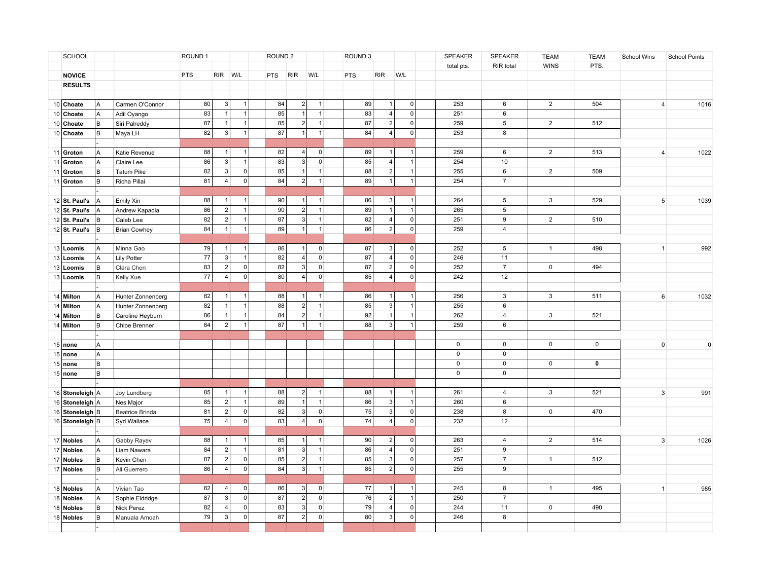|    | SCHOOL                |     |                     | ROUND 1    |                |                | ROUND <sub>2</sub> |                |                | ROUND <sub>3</sub> |                |                     | SPEAKER     | SPEAKER        | <b>TEAM</b>    | <b>TEAM</b> | School Wins | <b>School Points</b>        |
|----|-----------------------|-----|---------------------|------------|----------------|----------------|--------------------|----------------|----------------|--------------------|----------------|---------------------|-------------|----------------|----------------|-------------|-------------|-----------------------------|
|    |                       |     |                     |            |                |                |                    |                |                |                    |                |                     | total pts.  | RIR total      | <b>WINS</b>    | PTS.        |             |                             |
|    | <b>NOVICE</b>         |     |                     | <b>PTS</b> | RIR W/L        |                | <b>PTS</b>         | <b>RIR</b>     | W/L            | PTS                | <b>RIR</b>     | W/L                 |             |                |                |             |             |                             |
|    | <b>RESULTS</b>        |     |                     |            |                |                |                    |                |                |                    |                |                     |             |                |                |             |             |                             |
|    |                       |     |                     |            |                |                |                    |                |                |                    |                |                     |             |                |                |             |             |                             |
|    | 10 Choate             | l A | Carmen O'Connor     | 80         | 3 <sup>1</sup> | 1              | 84                 | $\overline{2}$ | $\overline{1}$ | 89                 | $\mathbf{1}$   | $\mathbf 0$         | 253         | 6              | $\overline{2}$ | 504         |             | 1016<br>$\overline{4}$      |
|    | 10 Choate             | A   | Adil Oyango         | 83         |                | 1              | 85                 | $\vert$ 1      | $\overline{1}$ | 83                 | 4              | $\mathbf 0$         | 251         | $\,6\,$        |                |             |             |                             |
|    | 10 Choate             | lв  | Siri Palreddy       | 87         | $\mathbf{1}$   | 1 <sup>1</sup> | 85                 | $\overline{2}$ | $\overline{1}$ | 87                 | 2              | $\mathbf 0$         | 259         | $\,$ 5 $\,$    | $\overline{2}$ | 512         |             |                             |
|    | 10 Choate             | lв  | Maya LH             | 82         | 3 <sup>1</sup> | 1              | $\overline{87}$    | $\vert$ 1      | $\overline{1}$ | 84                 | $\overline{4}$ | $\mathbf 0$         | 253         | $\overline{8}$ |                |             |             |                             |
|    |                       |     |                     |            |                |                |                    |                |                |                    |                |                     |             |                |                |             |             |                             |
|    | 11 Groton             | A   | Katie Revenue       | 88         | $\overline{1}$ | $\mathbf{1}$   | 82                 | $\overline{4}$ | $\overline{0}$ | 89                 | $\vert$ 1      | $\overline{1}$      | 259         | 6              | $\overline{2}$ | 513         |             | 1022<br>$\overline{4}$      |
| 11 | Groton                | A   | Claire Lee          | 86         | 3 <sup>1</sup> | 1              | 83                 | 3              | 0              | 85                 | 4              | $\overline{1}$      | 254         | 10             |                |             |             |                             |
| 11 | Groton                | lв  | <b>Tatum Pike</b>   | 82         | 3 <sup>1</sup> | 0              | 85                 | $\vert$ 1      | $\overline{1}$ | 88                 | $\overline{2}$ | $\overline{1}$      | 255         | $\,6\,$        | $\overline{2}$ | 509         |             |                             |
|    | 11 Groton             | lв  | Richa Pillai        | 81         | 4 <sup>1</sup> | 0              | 84                 | $\overline{2}$ | $\mathbf{1}$   | 89                 | $\vert$ 1      | $\overline{1}$      | 254         | $\overline{7}$ |                |             |             |                             |
|    |                       |     |                     |            |                |                |                    |                |                |                    |                |                     |             |                |                |             |             |                             |
|    | 12 $\vert$ St. Paul's | lA  | Emily Xin           | 88         | $\mathbf{1}$   | $\mathbf{1}$   | 90                 | 1              | $\mathbf{1}$   | 86                 | 3              | $\overline{1}$      | 264         | $\,$ 5         | 3              | 529         |             | 5 <sup>5</sup><br>1039      |
|    | 12 $\vert$ St. Paul's | A   | Andrew Kapadia      | 86         | 2 <sup>1</sup> | 1              | 90                 | 2              | $\overline{1}$ | 89                 | $\vert$ 1      | $\overline{1}$      | 265         | 5              |                |             |             |                             |
|    | 12 $\vert$ St. Paul's | lв  | Caleb Lee           | 82         | 2 <sup>1</sup> | 1              | 87                 | 3              | $\mathbf{1}$   | 82                 | 4              | $\mathbf 0$         | 251         | 9              | $\overline{2}$ | 510         |             |                             |
|    | $12$ St. Paul's       | lв  | <b>Brian Cowhey</b> | 84         | 1              | 1              | 89                 | $\vert$ 1      | $\overline{1}$ | 86                 | 2              | $\mathsf{O}\xspace$ | 259         | $\overline{4}$ |                |             |             |                             |
|    |                       |     |                     |            |                |                |                    |                |                |                    |                |                     |             |                |                |             |             |                             |
|    | 13 Loomis             | l A | Minna Gao           | 79         | $\mathbf{1}$   | 1              | 86                 | $\vert$ 1      | $\mathbf 0$    | 87                 | 3              | $\pmb{0}$           | 252         | 5              | $\mathbf{1}$   | 498         |             | 992<br>1                    |
|    | 13 Loomis             | A   | <b>Lily Potter</b>  | 77         | 3              | 1              | 82                 | $\overline{4}$ | 0              | 87                 | 4              | $\mathbf 0$         | 246         | 11             |                |             |             |                             |
|    | 13 Loomis             | lв  | Clara Chen          | 83         | 2              | 0              | 82                 | 3              | 0              | 87                 | 2              | $\mathsf{O}\xspace$ | 252         | $\overline{7}$ | $\mathsf{O}$   | 494         |             |                             |
|    | 13 Loomis             | lв  | Kelly Xue           | 77         | 4              | 0              | 80                 | $\overline{4}$ | 0              | 85                 | 4              | $\mathsf 0$         | 242         | 12             |                |             |             |                             |
|    |                       |     |                     |            |                |                |                    |                |                |                    |                |                     |             |                |                |             |             |                             |
|    | 14 Milton             | l A | Hunter Zonnenberg   | 82         | $\overline{1}$ | $\mathbf{1}$   | 88                 | $\vert$ 1      | $\overline{1}$ | 86                 | 1              | $\overline{1}$      | 256         | $\mathbf{3}$   | 3              | 511         |             | 6<br>1032                   |
|    | 14 Milton             | A   | Hunter Zonnenberg   | 82         | $\vert$ 1      | 1              | 88                 | $\overline{2}$ | $\overline{1}$ | 85                 | 3              | $\overline{1}$      | 255         | 6              |                |             |             |                             |
|    | 14 Milton             | lв  | Caroline Heyburn    | 86         | $\overline{1}$ | 1              | 84                 | $\overline{2}$ | $\mathbf{1}$   | 92                 | 1              | $\mathbf{1}$        | 262         | $\overline{4}$ | $\mathbf{3}$   | 521         |             |                             |
|    | 14 Milton             | B   | Chloe Brenner       | 84         | 2              | 1              | 87                 | $\vert$ 1      | $\mathbf{1}$   | 88                 | 3              | $\mathbf{1}$        | 259         | 6              |                |             |             |                             |
|    |                       |     |                     |            |                |                |                    |                |                |                    |                |                     |             |                |                |             |             |                             |
|    | $15$ none             | A   |                     |            |                |                |                    |                |                |                    |                |                     | $\mathsf 0$ | $\mathsf{O}$   | $\mathsf{O}$   | 0           |             | $\mathsf 0$<br>$\mathbf{0}$ |
|    | $15$ none             | Α   |                     |            |                |                |                    |                |                |                    |                |                     | $\mathsf 0$ | $\mathsf 0$    |                |             |             |                             |
|    | $15$ none             | lв  |                     |            |                |                |                    |                |                |                    |                |                     | $\mathsf 0$ | $\mathsf 0$    | $\mathsf{O}$   | $\pmb{0}$   |             |                             |
|    | $15$ none             | lв  |                     |            |                |                |                    |                |                |                    |                |                     | $\mathsf 0$ | $\mathsf 0$    |                |             |             |                             |
|    |                       |     |                     |            |                |                |                    |                |                |                    |                |                     |             |                |                |             |             |                             |
|    | 16 Stoneleigh A       |     | Joy Lundberg        | 85         | $\overline{1}$ | 1              | 88                 | $\vert$ 2      | $\mathbf{1}$   | 88                 | 11             | $\overline{1}$      | 261         | $\overline{4}$ | 3              | 521         |             | $\mathbf{3}$<br>991         |
|    | 16 Stoneleigh A       |     | Nes Major           | 85         | 2              | 1              | 89                 | $\vert$ 1      | $\mathbf{1}$   | 86                 | 3              | $\overline{1}$      | 260         | 6              |                |             |             |                             |
|    | 16 Stoneleigh B       |     | Beatrice Brinda     | 81         | 2              | 0              | 82                 | $\overline{3}$ | 0              | 75                 | 3              | $\mathbf 0$         | 238         | 8              | $\mathbf 0$    | 470         |             |                             |
|    | 16 Stoneleigh B       |     | Syd Wallace         | 75         | 4              | 0              | 83                 | 4 <sup>1</sup> | $\circ$        | 74                 | 4              | $\mathbf 0$         | 232         | 12             |                |             |             |                             |
|    |                       |     |                     |            |                |                |                    |                |                |                    |                |                     |             |                |                |             |             |                             |
|    | 17 Nobles             | l A | Gabby Rayev         | 88         | -1             | $\mathbf{1}$   | 85                 | $\vert$ 1      | $\overline{1}$ | 90                 | 2              | $\mathbf 0$         | 263         | $\overline{4}$ | $\overline{2}$ | 514         |             | $\mathbf{3}$<br>1026        |
|    | 17 Nobles             | A   | Liam Nawara         | 84         | 2              | $\mathbf{1}$   | 81                 | 3              | $\overline{1}$ | 86                 | 4              | $\mathbf 0$         | 251         | 9              |                |             |             |                             |
|    | 17 Nobles             | lв  | Kevin Chen          | 87         | 2              | 0              | 85                 | $\vert$ 2      | $\overline{1}$ | 85                 | 3 <sup>1</sup> | $\mathbf 0$         | 257         | $\overline{7}$ | $\mathbf{1}$   | 512         |             |                             |
|    | 17 Nobles             | lв  | Ali Guerrero        | 86         | $\vert$        | 0              | 84                 | 3              | $\overline{1}$ | 85                 | 2              | $\mathsf 0$         | 255         | 9              |                |             |             |                             |
|    |                       |     |                     |            |                |                |                    |                |                |                    |                |                     |             |                |                |             |             |                             |
|    | 18 Nobles             | A   | Vivian Tao          | 82         | $\overline{4}$ | 0              | 86                 | 3              | $\mathbf 0$    | 77                 | $\mathbf{1}$   |                     | 245         | 8              | $\mathbf{1}$   | 495         |             | 985<br>$\mathbf{1}$         |
|    | 18 Nobles             | A   | Sophie Eldridge     | 87         | 3              | 0              | 87                 | $\vert$ 2      | $\circ$        | 76                 | 2              | $\overline{1}$      | 250         | $\overline{7}$ |                |             |             |                             |
|    | 18 Nobles             | B   | Nick Perez          | 82         | $\overline{4}$ | 0              | 83                 | $\mathbf{3}$   | $\mathbf 0$    | 79                 | $\overline{4}$ | $\pmb{0}$           | 244         | 11             | 0              | 490         |             |                             |
|    | 18 Nobles             | B   | Manuala Amoah       | 79         | 3              | 0              | 87                 | 2              | $\mathbf 0$    | 80                 | $\mathsf 3$    | $\Omega$            | 246         | 8              |                |             |             |                             |
|    |                       |     |                     |            |                |                |                    |                |                |                    |                |                     |             |                |                |             |             |                             |
|    |                       |     |                     |            |                |                |                    |                |                |                    |                |                     |             |                |                |             |             |                             |